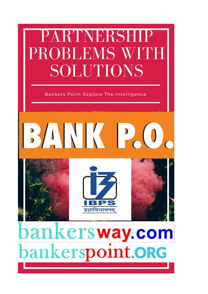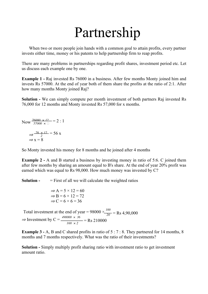# Partnership

When two or more people join hands with a common goal to attain profits, every partner invests either time, money or his patents to help partnership firm to reap profits.

There are many problems in partnerships regarding profit shares, investment period etc. Let us discuss each example one by one.

**Example 1 -** Raj invested Rs 76000 in a business. After few months Monty joined him and invests Rs 57000. At the end of year both of them share the profits at the ratio of 2:1. After how many months Monty joined Raj?

**Solution -** We can simply compute per month investment of both partners Raj invested Rs 76,000 for 12 months and Monty invested Rs 57,000 for x months.

Now  $\frac{76000 \times 12}{57000 \times 1} = 2 : 1$  $\Rightarrow \frac{76 \times 12}{2}$ *⇒* x = 8  $= 56 x$ 

So Monty invested his money for 8 months and he joined after 4 months

**Example 2 -** A and B started a business by investing money in ratio of 5:6. C joined them after few months by sharing an amount equal to B's share. At the end of year 20% profit was earned which was equal to Rs 98,000. How much money was invested by C?

**Solution -**  $=$  First of all we will calculate the weighted ratios

$$
\Rightarrow A = 5 \times 12 = 60
$$
  

$$
\Rightarrow B = 6 \times 12 = 72
$$
  

$$
\Rightarrow C = 6 \times 6 = 36
$$

Total investment at the end of year =  $98000 \times \frac{100}{20}$  = Rs 4,90,000 *⇒* Investment by C = *490000 × 36*  $\frac{168 \times 2}{4}$  = Rs 210000

**Example 3 -** A, B and C shared profits in ratio of 5 : 7 : 8. They partnered for 14 months, 8 months and 7 months respectively. What was the ratio of their investments?

**Solution -** Simply multiply profit sharing ratio with investment ratio to get investment amount ratio.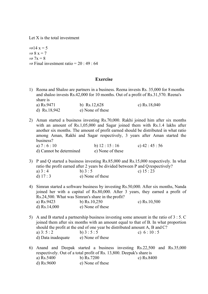Let X is the total investment

*⇒*14 x = 5 *⇒* 8 x = 7  $\Rightarrow$  7x = 8 *⇒* Final investment ratio = 20 : 49 : 64

## **Exercise**

- 1) Reena and Shaloo are partners in a business. Reena invests Rs. 35,000 for 8 months and shaloo invests Rs.42,000 for 10 months. Out of a profit of Rs.31,570. Reena's share is a) Rs.9471 b) Rs.12,628 c) Rs.18,040 d) Rs.18,942 e) None of these
- 2) Aman started a business investing Rs.70,000. Rakhi joined him after six months with an amount of Rs.1,05,000 and Sagar joined them with Rs.1.4 lakhs after another six months. The amount of profit earned should be distributed in what ratio among Aman, Rakhi and Sagar respectively, 3 years after Aman started the business? a)  $7 : 6 : 10$  b)  $12 : 15 : 16$  c)  $42 : 45 : 56$ d) Cannot be determined e) None of these
- 3) P and Q started a business investing Rs.85,000 and Rs.15,000 respectively. In what ratio the profit earned after 2 years be divided between P and Qrespectively? a)  $3 : 4$  b)  $3 : 5$  c)  $15 : 23$ d)  $17:3$  e) None of these
- 4) Simran started a software business by investing Rs.50,000. After six months, Nanda joined her with a capital of Rs.80,000. After 3 years, they earned a profit of Rs.24,500. What was Simran's share in the profit? a) Rs.9423 b) Rs.10,250 c) Rs.10,500 d)  $\text{Rs}.14,000$  e) None of these
- 5) A and B started a partnership business investing some amount in the ratio of 3 : 5. C joined them after six months with an amount equal to that of B. In what proportion should the profit at the end of one year be distributed amount A, B and C? a)  $3: 5: 2$  b)  $3: 5: 5$  c)  $6: 10: 5$ d) Data inadequate e) None of these
- 6) Anand and Deepak started a business investing Rs.22,500 and Rs.35,000 respectively. Out of a total profit of Rs. 13,800. Deepak's share is a) Rs.5400 b) Rs.7200 c) Rs.8400 d) Rs.9600 e) None of these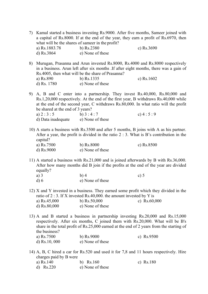- 7) Kamal started a business investing Rs.9000. After five months, Sameer joined with a capital of Rs.8000. If at the end of the year, they earn a profit of Rs.6970, then what will be the shares of sameer in the profit? a) Rs.1883.78 b) Rs.2380 c) Rs.3690 d) Rs.3864 e) None of these
- 8) Murugan, Prasanna and Arun invested Rs.8000, Rs.4000 and Rs.8000 respectively in a business. Arun left after six months .If after eight months, there was a gain of Rs.4005, then what will be the share of Prasanna? a) Rs.890 b) Rs.1335 c) Rs.1602 d) Rs. 1780 e) None of these
- 9) A, B and C enter into a partnership. They invest Rs.40,000, Rs.80,000 and Rs.1,20,000 respectively. At the end of the first year, B withdraws Rs.40,000 while at the end of the second year, C withdraws Rs.80,000. In what ratio will the profit be shared at the end of 3 years?
	- a)  $2:3:5$  b)  $3:4:7$  c)  $4:5:9$ d) Data inadequate e) None of these
- 10) A starts a business with Rs.3500 and after 5 months, B joins with A as his partner. After a year, the profit is divided in the ratio  $2:3$ . What is B's contribution in the capital?
	- a) Rs.7500 b) Rs.8000 c) Rs.8500 d) Rs.9000 e) None of these
- 11) A started a business with Rs.21,000 and is joined afterwards by B with Rs.36,000. After how many months did B join if the profits at the end of the year are divided equally?
	- a) 3 b) 4 c) 5 d) 6 e) None of these
- 12) X and Y invested in a business. They earned some profit which they divided in the ratio of 2 : 3. If X invested Rs.40,000. the amount invested by Y is a) Rs.45,000 b) Rs.50,000 c) Rs.60,000 d) Rs.80,000 e) None of these
- 13) A and B started a business in partnership investing Rs.20,000 and Rs.15,000 respectively. After six months, C joined them with Rs.20,000. What will be B's share in the total profit of Rs.25,000 earned at the end of 2 years from the starting of the business? a) Rs.7500 b) Rs.9000 c) Rs.9500 d) Rs.10, 000 e) None of these
- 14) A, B, C hired a car for Rs.520 and used it for 7,8 and 11 hours respectively. Hire charges paid by B were a) Rs.140 b) Rs.160 c) Rs.180
	- d) Rs.220 e) None of these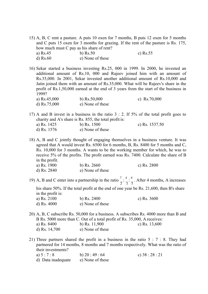15) A, B, C rent a pasture. A puts 10 oxen for 7 months, B puts 12 oxen for 5 months and C puts 15 oxen for 3 months for grazing. If the rent of the pasture is Rs. 175, how much must C pay as his share of rent? a) Rs.45 b) Rs.50 c) Rs.55 d) Rs.60 e) None of these

16) Sekar started a business investing Rs.25, 000 in 1999. In 2000, he invested an additional amount of Rs.10, 000 and Rajeev joined him with an amount of Rs.35,000. In 2001, Sekar invested another additional amount of Rs.10,000 and Jatin joined them with an amount of Rs.35,000. What will be Rajeev's share in the profit of Rs.1,50,000 earned at the end of 3 years from the start of the business in 1999?

| a) Rs.45,000 | b) $Rs.50,000$   | c) $Rs.70,000$ |
|--------------|------------------|----------------|
| d) Rs.75,000 | e) None of these |                |

17) A and B invest in a business in the ratio 3 : 2. If 5% of the total profit goes to charity and A's share is Rs. 855, the total profit is:

| a) Rs. 1425   | b) Rs. $1500$    | c) Rs. $1537.50$ |
|---------------|------------------|------------------|
| d) Rs. $1576$ | e) None of these |                  |

18) A, B and C jointly thought of engaging themselves in a business venture. It was agreed that A would invest Rs. 6500 for 6 months, B, Rs. 8400 for 5 months and C, Rs. 10,000 for 3 months. A wants to be the working member for which, he was to receive 5% of the profits. The profit earned was Rs. 7400. Calculate the share of B in the profit.

| a) Rs. 1900   | b) Rs. $2660$    | c) Rs. $2800$ |
|---------------|------------------|---------------|
| d) Rs. $2840$ | e) None of these |               |

19) A, B and C enter into a partnership in the ratio  $\frac{7}{1}$  :  $\frac{4}{1}$ . After 4 months, A increases *2 3 5*

his share 50%. If the total profit at the end of one year be Rs. 21,600, then B's share in the profit is:

c) Rs. 3600

| a) Rs. 2100 | b) Rs. $2400$    |
|-------------|------------------|
| d) Rs. 4000 | e) None of these |

- 20) A, B, C subscribe Rs. 50,000 for a business. A subscribes Rs. 4000 more than B and B Rs. 5000 more than C. Out of a total profit of Rs. 35,000, A receives:
	- a) Rs. 8400 b) Rs. 11,900 c) Rs. 13,600 d) Rs. 14,700 e) None of these
- 21) Three partners shared the profit in a business in the ratio 5 : 7 : 8. They had partnered for 14 months, 8 months and 7 months respectively. What was the ratio of their investments?
	- a)  $5 : 7 : 8$  b)  $20 : 49 : 64$  c)  $38 : 28 : 21$ d) Data inadequate e) None of these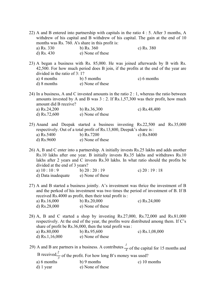- 22) A and B entered into partnership with capitals in the ratio 4 : 5. After 3 months, A withdrew of his capital and B withdrew of his capital. The gain at the end of 10 months was Rs. 760. A's share in this profit is: a) Rs. 330 b) Rs. 360 c) Rs. 380
	- d) Rs. 430 e) None of these
- 23) A began a business with Rs. 85,000. He was joined afterwards by B with Rs. 42,500. For how much period does B join, if the profits at the end of the year are divided in the ratio of 3: 1?
	- a) 4 months b) 5 months c) 6 months d) 8 months e) None of these
- 24) In a business, A and C invested amounts in the ratio 2 : 1, whereas the ratio between amounts invested by A and B was  $3:2$ . If Rs.1,57,300 was their profit, how much amount did B receive?
	- a) Rs.24,200 b) Rs.36,300 c) Rs.48,400 d) Rs.72,600 e) None of these
- 25) Anand and Deepak started a business investing Rs.22,500 and Rs.35,000 respectively. Out of a total profit of Rs.13,800, Deepak's share is: a) Rs.5400 b) Rs.7200 c) Rs.8400 d) Rs.9600 e) None of these

26) A, B and C enter into a partnership. A initially invests Rs.25 lakhs and adds another Rs.10 lakhs after one year. B initially invests Rs.35 lakhs and withdraws Rs.10 lakhs after 2 years and C invests Rs.30 lakhs. In what ratio should the profits be divided at the end of 3 years? a)  $10:10:9$  b)  $20:20:19$  c)  $20:19:18$ 

- d) Data inadequate e) None of these
- 27) A and B started a business jointly. A's investment was thrice the investment of B and the perkod of his investment was two times the period of investment of B. If B received Rs.4000 as profit, then their total profit is:

| a) $Rs.16,000$ | b) $Rs.20,000$   | c) $Rs.24,000$ |
|----------------|------------------|----------------|
| d) $Rs.28,000$ | e) None of these |                |

- 28) A, B and C started a shop by investing Rs.27,000, Rs.72,000 and Rs.81,000 respectively. At the end of the year, the profits were distributed among them. If C's share of profit be Rs.36,000, then the total profit was: a) Rs.80,000 b) Rs.95,600 c) Rs.1,08,000 d) Rs.1,16,000 e) None of these
- 29) A and B are partners in a business. A contributes  $\frac{1}{4}$  of the capital for 15 months and B received  $\frac{2}{3}$  of the profit. For how long B's money was used? a) 6 months b) 9 months c) 10 months d) 1 year e) None of these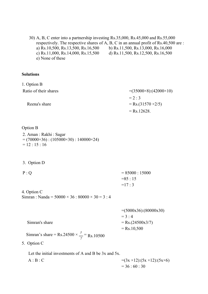30) A, B, C enter into a partnership investing Rs.35,000, Rs.45,000 and Rs.55,000 respectively. The respective shares of A, B, C in an annual profit of Rs.40,500 are : a) Rs.10,500, Rs.13,500, Rs.16,500 b) Rs.11,500, Rs.13,000, Rs.16,000 c) Rs.11,000, Rs.14,000, Rs.15,500 d) Rs.11,500, Rs.12,500, Rs.16,500 e) None of these

### **Solutions**

| 1. Option B           |                                   |
|-----------------------|-----------------------------------|
| Ratio of their shares | $=(35000\times8):(42000\times10)$ |
|                       | $= 2 \cdot 3$                     |
| Reena's share         | $=$ Rs.(31570 $\times$ 2/5)       |
|                       | $=$ Rs. 12628.                    |

#### Option B

- 2. Aman : Rakhi : Sagar  $= (70000 \times 36)$ : (105000×30): 140000×24)  $= 12 : 15 : 16$
- 3. Option D
- $P : Q = 85000 : 15000$  $=85 : 15$  $=17:3$

4 . Option C Simran : Nanda =  $50000 \times 36$  :  $80000 \times 30 = 3$  : 4

=(5000x36):(80000x30)  $= 3 : 4$ Simran's share  $=$  Rs.(24500x3/7)  $=$  Rs.10,500

Simran's share = Rs.24500  $\times \frac{3}{1}$  =  $\frac{1}{7}$  Rs.10500

5 . Option C

Let the initial investments of A and B be 3x and 5x.

 $=(3x \times 12):(5x \times 12):(5x \times 6)$  $A : B : C$  $= 36 : 60 : 30$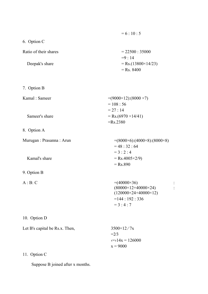|                       | $= 6:10:5$                           |
|-----------------------|--------------------------------------|
| 6. Option C           |                                      |
| Ratio of their shares | $= 22500 : 35000$<br>$= 9 \cdot 14$  |
| Deepak's share        | $=$ Rs.(13800×14/23)<br>$=$ Rs. 8400 |

7. Option B

Kamal : Sameer  $=(9000\times12):(8000\times7)$ 

Sameer's share  $=$  Rs.(6970 ×14/41)

8. Option A

9. Option B

| Murugan : Prasanna : Arun | $=(8000\times6):(4000\times8):(8000\times8)$ |
|---------------------------|----------------------------------------------|
|                           | $= 48 : 32 : 64$                             |
|                           | $= 3 \cdot 2 \cdot 4$                        |
| Kamal's share             | $=$ Rs.4005×2/9)                             |
|                           | $=$ Rs.890                                   |
|                           |                                              |

A : B: C  $=(40000\times36)$  :<br>  $(80000\times12+40000\times24)$  :  $(80000\times12+40000\times24)$  $(120000\times24+40000\times12)$  $=144:192:336$  $= 3 : 4 : 7$ 

 $= 108 : 56$  $= 27 : 14$ 

=Rs.2380

10. Option D

| Let B's capital be Rs.x. Then, | $3500\times12/7x$              |
|--------------------------------|--------------------------------|
|                                | $\equiv$ 2/3                   |
|                                | $\langle 14x = 126000 \rangle$ |
|                                | $x = 9000$                     |

11. Option C

Suppose B joined after x months.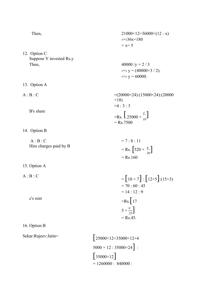12. Option C Suppose Y invested Rs.y Then,  $40000 / y = 2 / 3$ 

13. Option A

B's share

14. Option B

 $A : B : C$ Hire charges paid by B

15. Option A

A : B : C

c's rent

Then,  
\n
$$
21000 \times 12 = 36000 \times (12 - x)
$$
\n
$$
\iff 36x = 180
$$
\n
$$
= x = 5
$$

 $\iff$  y = (40000 $\times$ 3 / 2).  $\iff$  y = 60000.

 $=$ Rs.  $\left[25000 \times \frac{3}{10}\right]$ A : B : C  $= (20000 \times 24):(15000 \times 24):(20000$  $\times$ 18)  $=4:3:3$  $=$  Rs.7500

$$
= 7:8:11
$$
  
= Rs. [520 ×  $\frac{8}{26}$ ]  
= Rs.160

$$
= [10 \times 7] : [12 \times 5] : (15 \times 3)
$$
  
= 70 : 60 : 45  
= 14 : 12 : 9  
=Rs. [17  

$$
5 \times \frac{9}{35}]
$$
  
= Rs.45.

16. Option B

Sekar:Rajeev:Jatin= [25000×12+35000×12+4  $5000 \times 12 : 35000 \times 24$ ] :  $[35000 \times 12]$  $= 1260000 : 840000 :$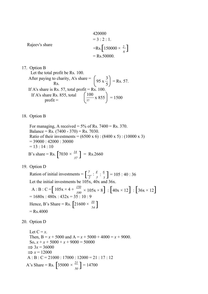420000  
= 3 : 2 : 1.  
=Rs. [150000 × 
$$
\frac{2}{6}
$$
]  
= Rs.50000.

17. Option B

Let the total profit be Rs. 100. After paying to charity, A's share =  $\left(95 \times \frac{3}{5}\right)$  = Rs. 57. If A's share is Rs. 57, total profit = Rs. 10. If A's share Rs. 855, total  $profit =$  $\left(\frac{100}{57} \times 855\right) = 1500$ 

#### 18. Option B

B's share = Rs.  $\left[ 7030 \times \frac{14}{37} \right]$  = Rs.2660 For managing, A received =  $5\%$  of Rs. 7400 = Rs. 370. Balance = Rs.  $(7400 - 370)$  = Rs. 7030. Ratio of their investments =  $(6500 \times 6)$  :  $(8400 \times 5)$  :  $(10000 \times 3)$  $= 39000 : 42000 : 30000$  $= 13 : 14 : 10$ 

*37*

19. Option D

Ration of initial investments =  $\left[\frac{7}{2}:\frac{4}{3}:\frac{6}{5}\right]$ A : B : C =  $[105x \times 4 + \frac{150}{100} \times 105x \times 8]$  :  $[40x \times 12]$  :  $[36x \times 12]$ Hence, B's Share = Rs.  $\left[ 21600 \times \frac{10}{54} \right]$  $\frac{7}{2}$   $\div \frac{4}{3}$   $\div \frac{6}{5}$  **]** = 105 : 40 : 36 Let the initial investments be 105x, 40x and 36x.  $= 1680x : 480x : 432x = 35 : 10 : 9$ *54*  $=$  Rs.4000

20. Option D

A's Share = Rs.  $\left[35000 \times \frac{21}{50}\right] = 14700$ Let  $C = x$ . Then,  $B = x + 5000$  and  $A = x + 5000 + 4000 = x + 9000$ . So,  $x + x + 5000 + x + 9000 = 50000$  $\Rightarrow$  3*x* = 36000  $\Rightarrow$  *x* = 12000  $A : B : C = 21000 : 17000 : 12000 = 21 : 17 : 12$ *50*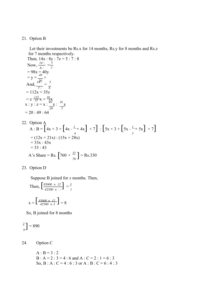#### 21. Option B

Let their investments be Rs.x for 14 months, Rs.y for 8 months and Rs.z for 7 months respectively.

Then,  $14x : 8y : 7z = 5 : 7 : 8$ Now,  $\frac{14\Box}{\Box} = \frac{5}{7}$ *8 7*  $= 98x = 40y$  $= y = \frac{49}{140} \times$ <br>And,  $\frac{140}{140} = 5$ *7 8*  $= 112x = 35z$  $= z \frac{112}{35} x = \frac{16}{58}$  $x : y : z = x : \frac{49}{x} : \frac{16}{x}$ *20 5*  $= 20 : 49 : 64$ 

22. Option A  
\nA : B = 
$$
\left[4x \times 3 + \left[4x - \frac{L}{x} \times 4x\right] \times 7\right]
$$
 :  $\left[5x \times 3 + \left[5x - \frac{L}{5} \times 5x\right] \times 7\right]$   
\n=  $(12x + 21x)$  :  $(15x + 28x)$   
\n=  $33x : 43x$   
\n= 33 : 43  
\nA's Share = Rs.  $\left[760 \times \frac{33}{76}\right]$  = Rs.330

23. Option D

Suppose B joined for *x* months. Then,

Then, 
$$
\left[\frac{85000 \times 12}{42500 \times 12}\right] = \frac{3}{1}
$$

$$
x = \left[\frac{85000 \times 12}{42500 \times 3}\right] = 8
$$

So, B joined for 8 months

$$
\frac{2}{9} = 890
$$

24. Option C

 $A : B = 3 : 2$ B : A = 2 :  $3 = 4$  : 6 and A : C = 2 : 1 = 6 : 3 So, B : A : C = 4 : 6 : 3 or A : B : C = 6 : 4 : 3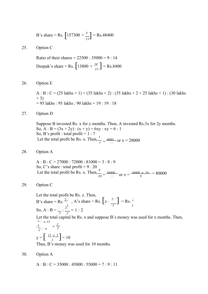B's share = Rs. 
$$
\left[157300 \times \frac{4}{13}\right]
$$
 = Rs.48400

25. Option C

Deepak's share = Rs.  $\left[ 13800 \times \frac{14}{23} \right]$  = Rs.8400 Ratio of their shares =  $22500 : 35000 = 9 : 14$ 

26. Option E

A : B : C =  $(25 \text{ lakhs} \times 1)$  +  $(35 \text{ lakhs} \times 2)$  :  $(35 \text{ lakhs} \times 2 + 25 \text{ lakhs} \times 1)$  :  $(30 \text{ lakhs}$  $\times$  3)  $= 95$  lakhs : 95 lakhs : 90 lakhs = 19 : 19 : 18

27. Option D

Suppose B invested Rs. x for y months. Then, A invested Rs.3x for 2y months. So, A : B =  $(3x \times 2y)$  :  $(x \times y)$  = 6xy : xy = 6 : 1 So, B's profit : total profit =  $1:7$ Let the total profit be Rs. x. Then, $\frac{1}{\sqrt{2}}$  $\frac{4000}{7}$  or x = 28000

28. Option A

 $A : B : C = 27000 : 72000 : 81000 = 3 : 8 : 9$ So, C's share : total profit  $= 9 : 20$ Let the total profit be Rs. x. Then,  $\frac{1}{20} = \frac{36000}{\Box}$  or x =  $\frac{36000 \times 20}{9}$  $\frac{20}{9}$  = 80000

29. Option C

 $\frac{4}{3}$   $\frac{3}{4}$   $\frac{1}{2}$   $\frac{1}{2}$ Ť,  $y = \left[ \frac{15 \times 2}{3} \right] = 10$ Let the total profit be Rs. z. Then, B's share = Rs.  $\left[ z - \frac{2\Box}{3} \right]$  = Rs.  $\left[ z - \frac{2\Box}{3} \right]$  = Rs.  $\frac{\Box}{3}$ So, A : B =  $\frac{1}{2}$  :  $\frac{21}{2}$  = 1 : 2 Let the total capital be Rs. x and suppose B's money was used for x months. Then,  $\frac{1}{2}$   $\Box \times 15$  $\frac{3}{4}$   $\alpha$   $\times$   $\frac{1}{2}$ Thus, B's money was used for 10 months.

30. Option A

 $A : B : C = 35000 : 45000 : 55000 = 7 : 9 : 11$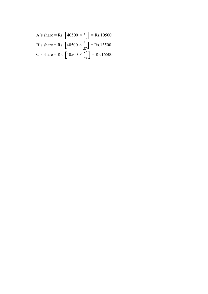A's share = Rs. 
$$
[40500 \times \frac{7}{27}] = \text{Rs}.10500
$$
  
B's share = Rs.  $[40500 \times \frac{9}{27}] = \text{Rs}.13500$   
C's share = Rs.  $[40500 \times \frac{11}{27}] = \text{Rs}.16500$